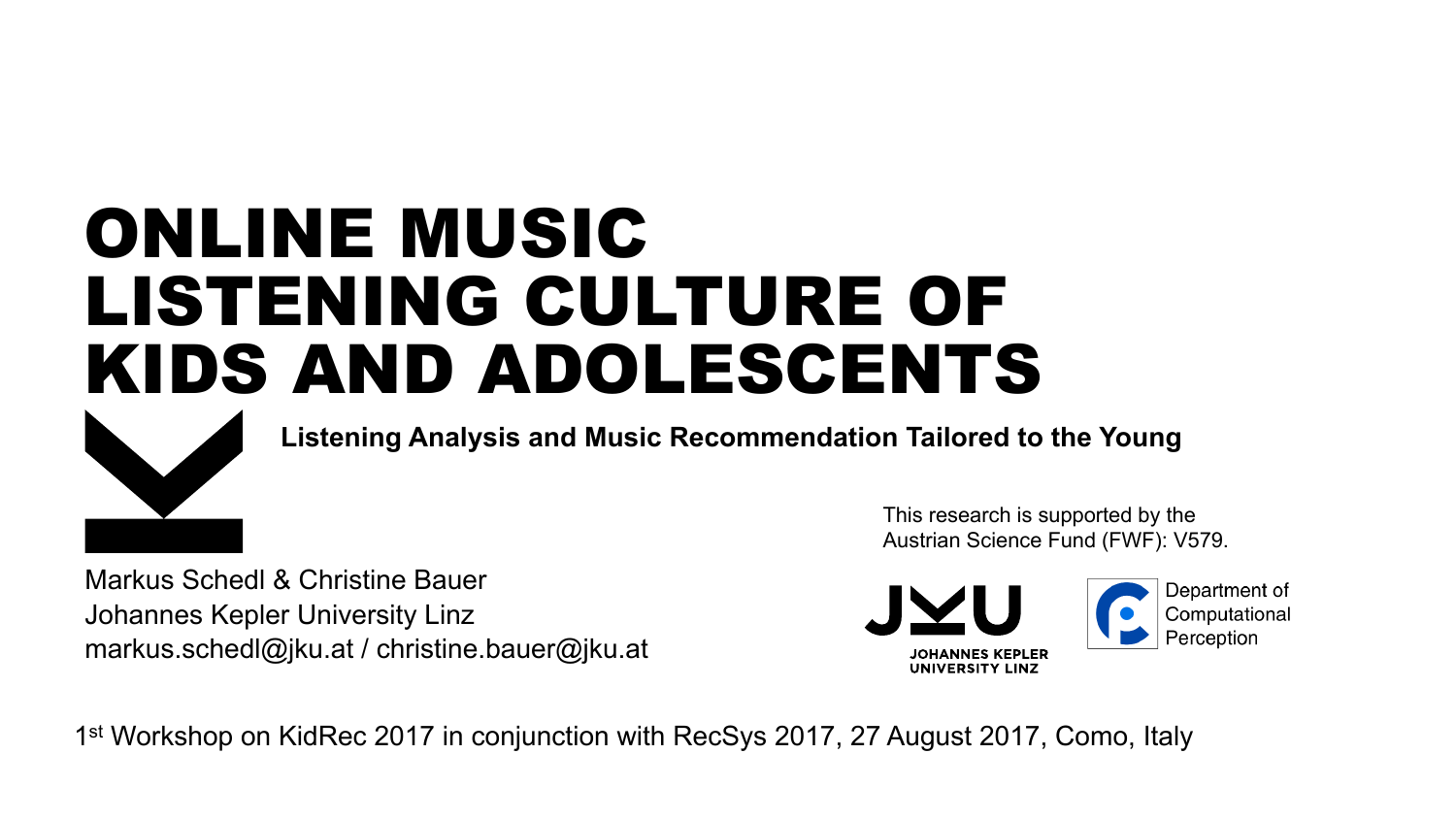# ONLINE MUSIC LISTENING CULTURE OF KIDS AND ADOLESCENTS



**Listening Analysis and Music Recommendation Tailored to the Young** 

Markus Schedl & Christine Bauer Johannes Kepler University Linz markus.schedl@jku.at / christine.bauer@jku.at

This research is supported by the Austrian Science Fund (FWF): V579.



1st Workshop on KidRec 2017 in conjunction with RecSys 2017, 27 August 2017, Como, Italy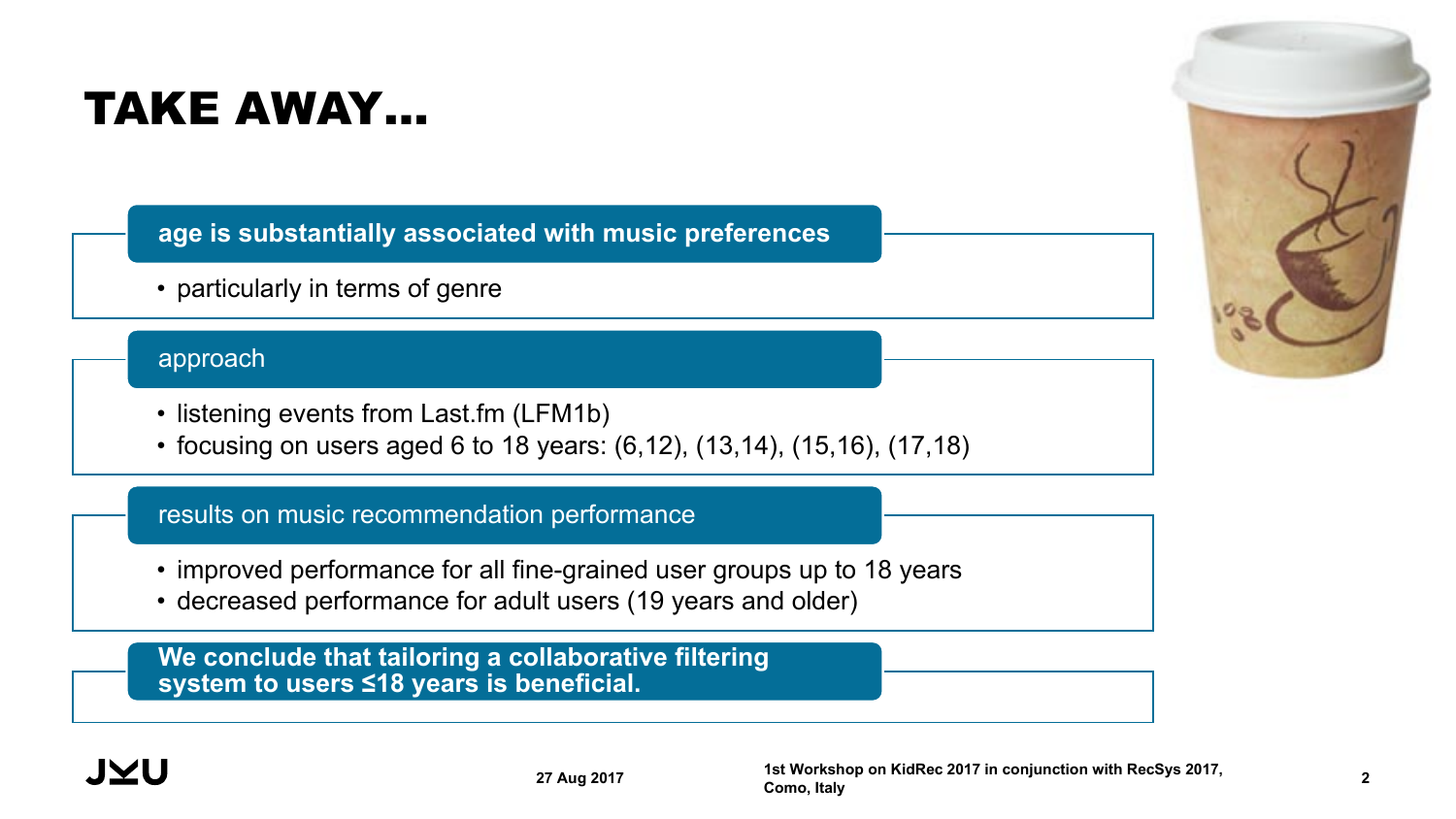## TAKE AWAY…

**age is substantially associated with music preferences**

• particularly in terms of genre

#### approach

- listening events from Last.fm (LFM1b)
- focusing on users aged 6 to 18 years: (6,12), (13,14), (15,16), (17,18)

#### results on music recommendation performance

- improved performance for all fine-grained user groups up to 18 years
- decreased performance for adult users (19 years and older)

**We conclude that tailoring a collaborative filtering system to users ≤18 years is beneficial.**



JMU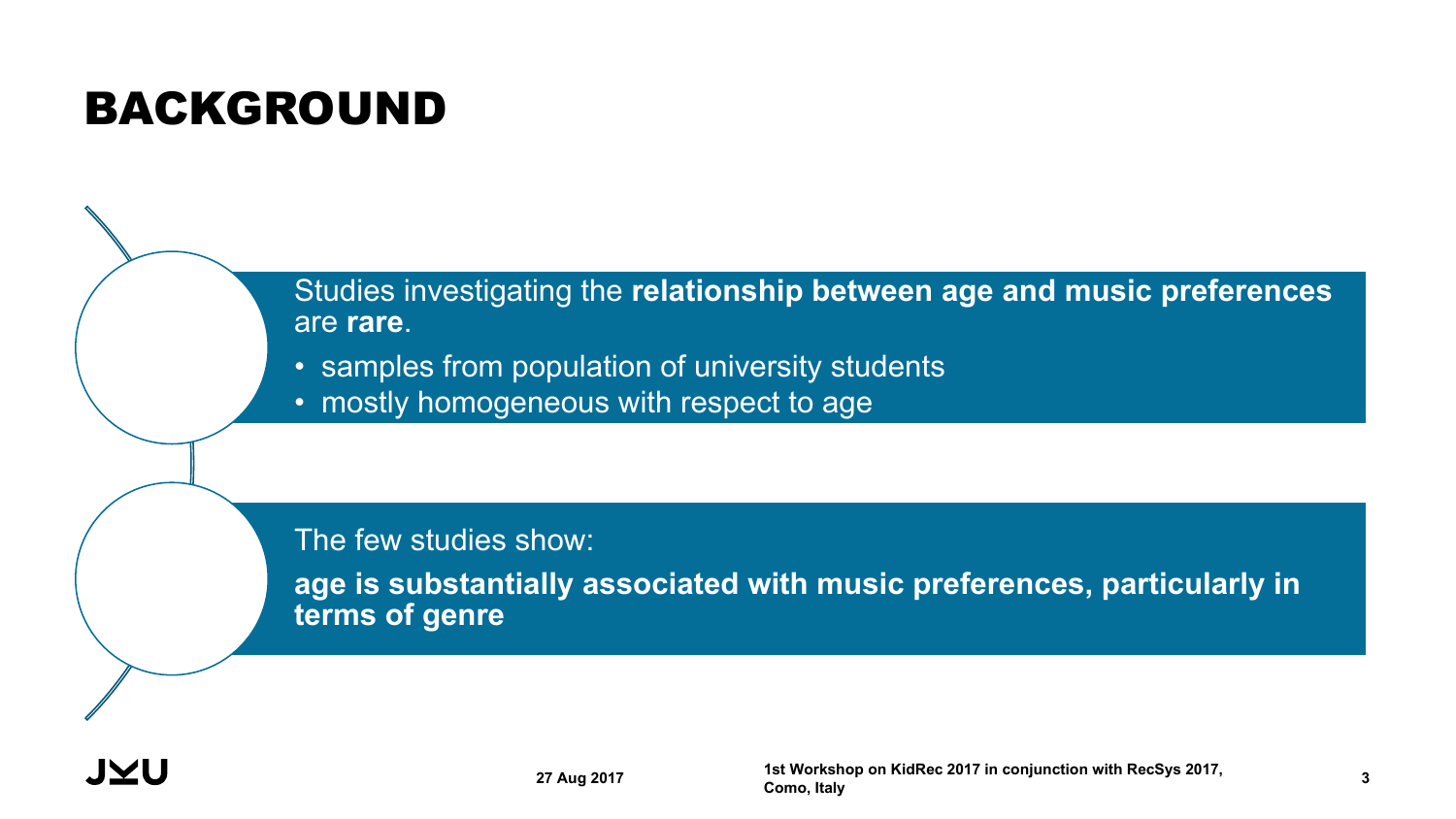## BACKGROUND

Studies investigating the **relationship between age and music preferences** are **rare**.

- samples from population of university students
- mostly homogeneous with respect to age

The few studies show:

**age is substantially associated with music preferences, particularly in terms of genre**

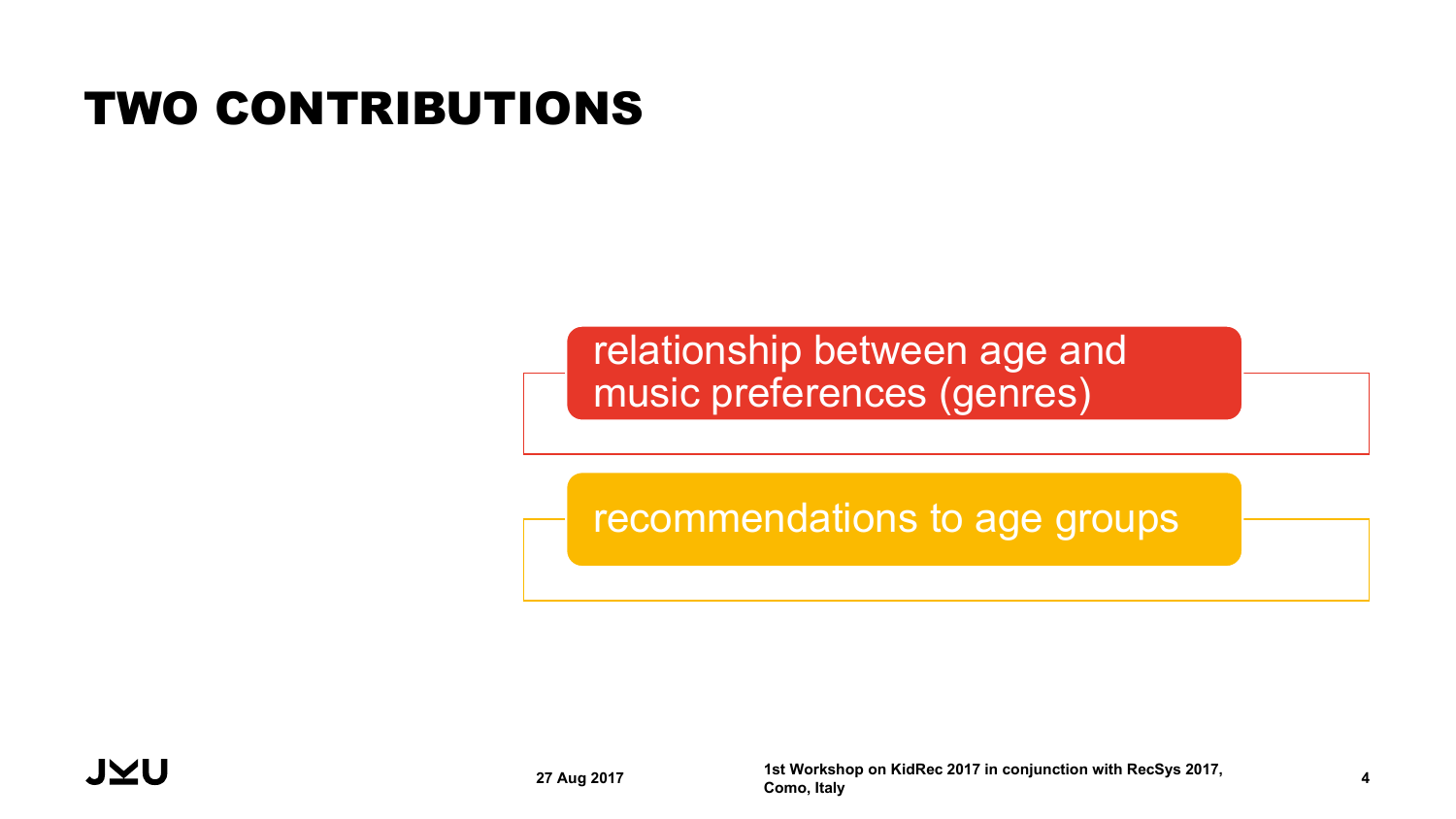## TWO CONTRIBUTIONS

### relationship between age and music preferences (genres)

recommendations to age groups

**27 Aug 2017 1st Workshop on KidRec 2017 in conjunction with RecSys 2017, Como, Italy <sup>4</sup>**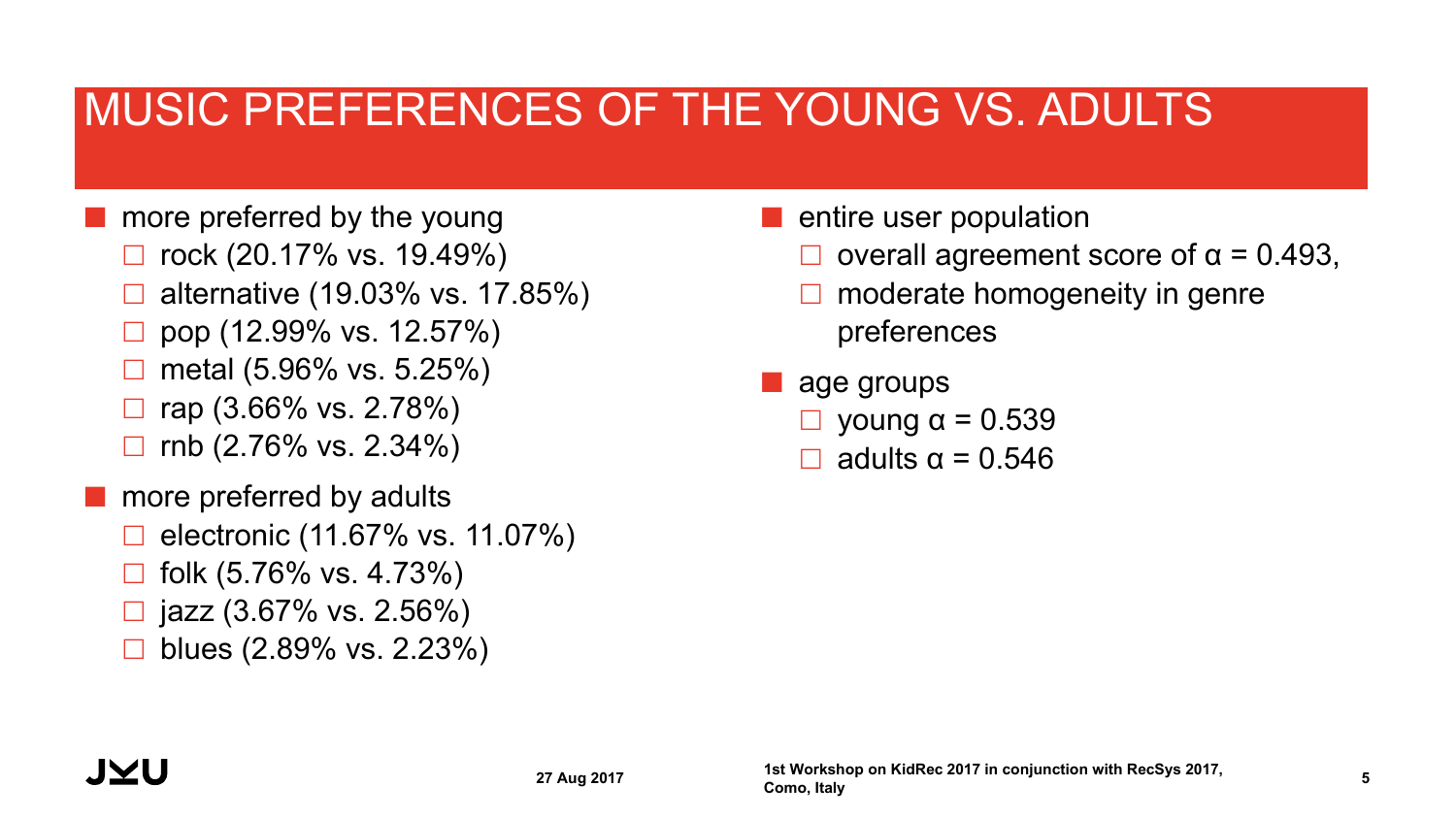### MUSIC PREFERENCES OF THE YOUNG VS. ADULTS

- more preferred by the young
	- £ rock (20.17% vs. 19.49%)
	- £ alternative (19.03% vs. 17.85%)
	- £ pop (12.99% vs. 12.57%)
	- £ metal (5.96% vs. 5.25%)
	- £ rap (3.66% vs. 2.78%)
	- £ rnb (2.76% vs. 2.34%)
- **n** more preferred by adults
	- £ electronic (11.67% vs. 11.07%)
	- £ folk (5.76% vs. 4.73%)
	- $\Box$  jazz (3.67% vs. 2.56%)
	- £ blues (2.89% vs. 2.23%)
- $\blacksquare$  entire user population
	- overall agreement score of  $α = 0.493$ ,
	- moderate homogeneity in genre preferences
- $\blacksquare$  age groups
	- young  $α = 0.539$
	- $\Box$  adults  $\alpha = 0.546$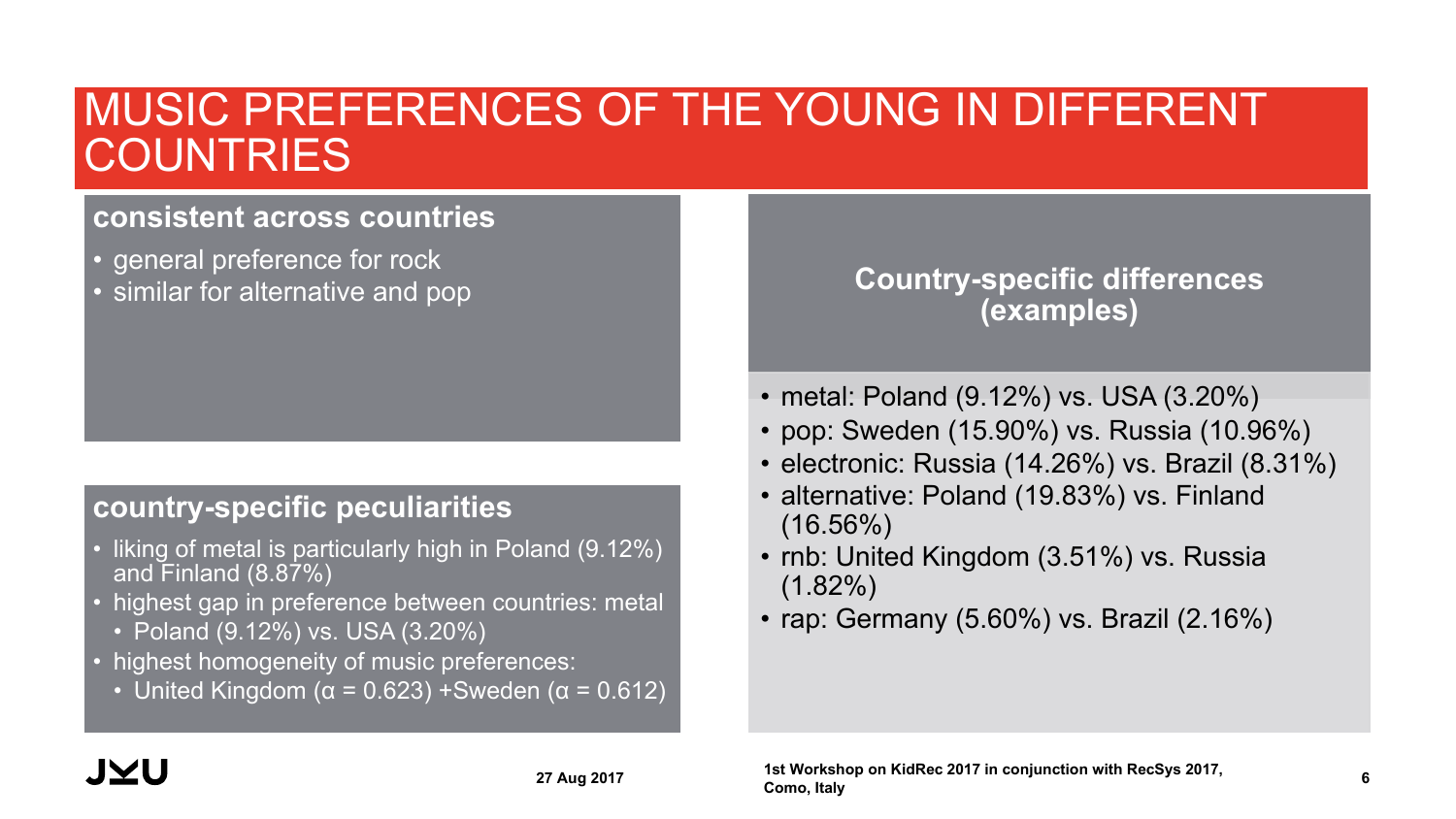### MUSIC PREFERENCES OF THE YOUNG IN DIFFERENT **COUNTRIES**

#### **consistent across countries**

- general preference for rock
- similar for alternative and pop

#### **country-specific peculiarities**

- liking of metal is particularly high in Poland (9.12%) and Finland (8.87%)
- highest gap in preference between countries: metal
	- Poland (9.12%) vs. USA (3.20%)
- highest homogeneity of music preferences:
	- United Kingdom ( $\alpha$  = 0.623) +Sweden ( $\alpha$  = 0.612)

#### **Country-specific differences (examples)**

- metal: Poland (9.12%) vs. USA (3.20%)
- pop: Sweden (15.90%) vs. Russia (10.96%)
- electronic: Russia (14.26%) vs. Brazil (8.31%)
- alternative: Poland (19.83%) vs. Finland  $(16.56\%)$
- rnb: United Kingdom (3.51%) vs. Russia  $(1.82\%)$
- rap: Germany (5.60%) vs. Brazil (2.16%)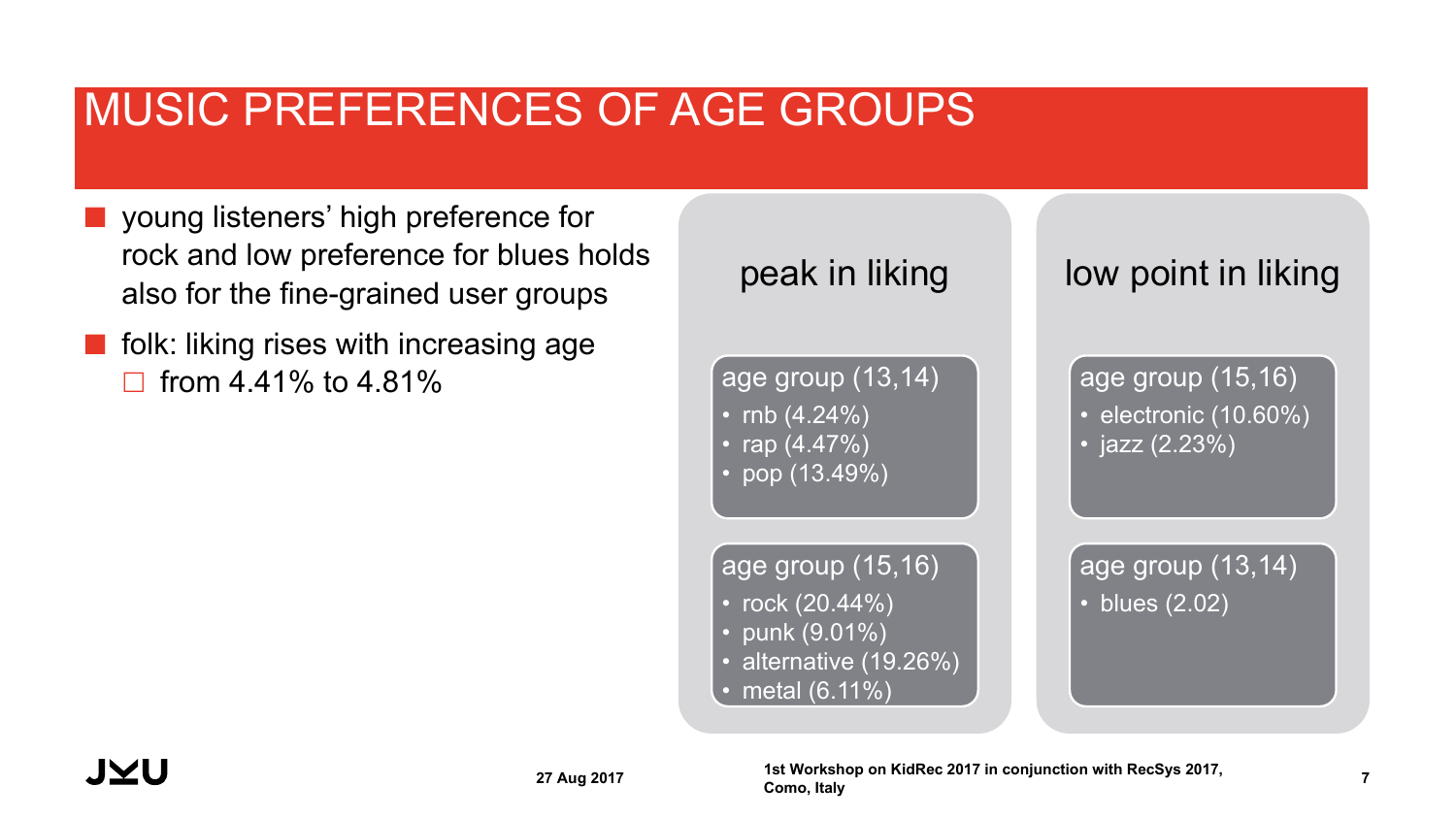## MUSIC PREFERENCES OF AGE GROUPS

- ¢ young listeners' high preference for rock and low preference for blues holds also for the fine-grained user groups
- $\blacksquare$  folk: liking rises with increasing age from  $4.41\%$  to  $4.81\%$

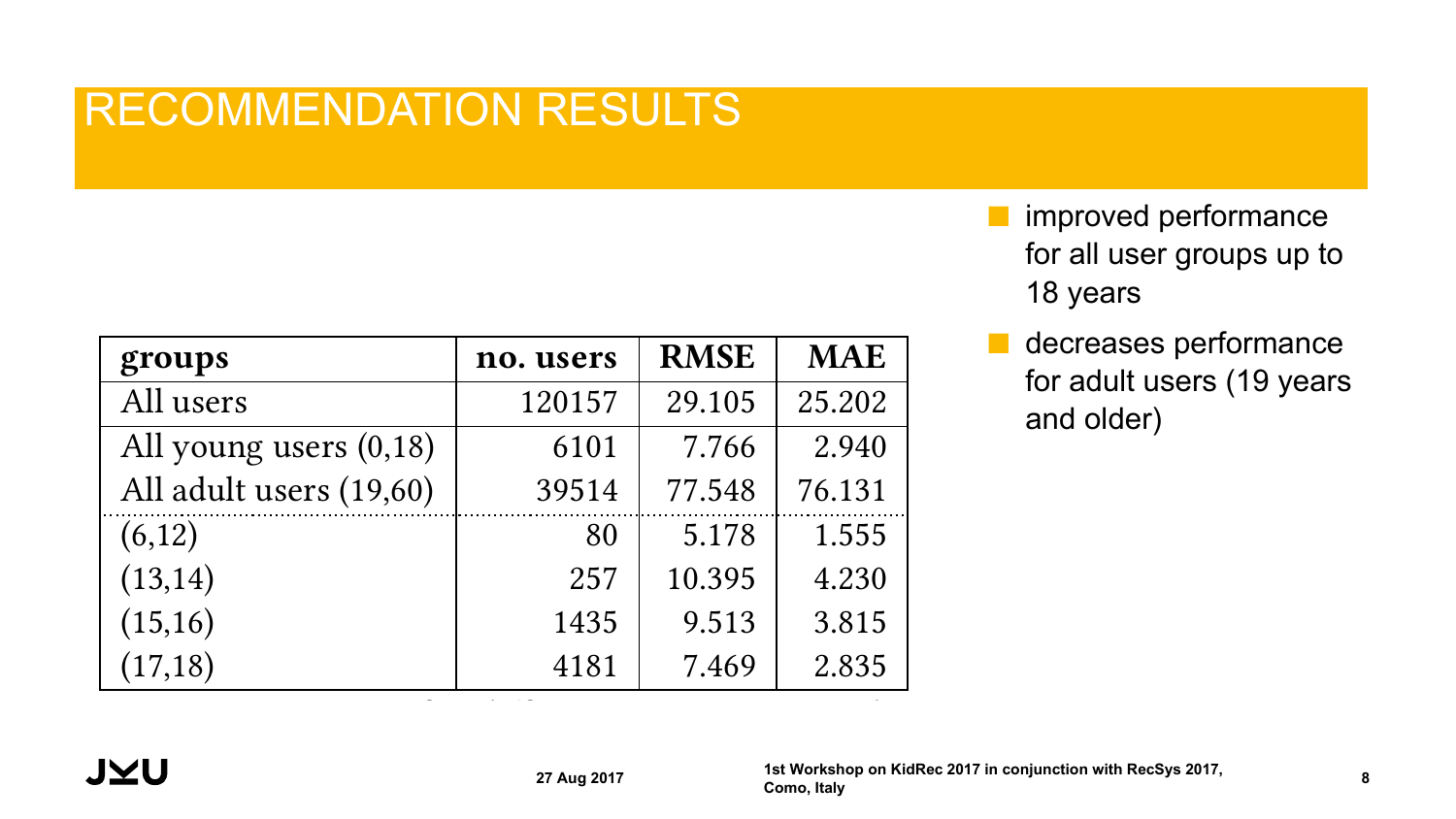## RECOMMENDATION RESULTS

| groups                   | no. users | <b>RMSE</b> | <b>MAE</b> |
|--------------------------|-----------|-------------|------------|
| All users                | 120157    | 29.105      | 25.202     |
| All young users $(0,18)$ | 6101      | 7.766       | 2.940      |
| All adult users (19,60)  | 39514     | 77.548      | 76.131     |
| (6,12)                   | 80        | 5.178       | 1.555      |
| (13, 14)                 | 257       | 10.395      | 4.230      |
| (15,16)                  | 1435      | 9.513       | 3.815      |
| (17, 18)                 | 4181      | 7.469       | 2.835      |

- **F** improved performance for all user groups up to 18 years
- decreases performance for adult users (19 years and older)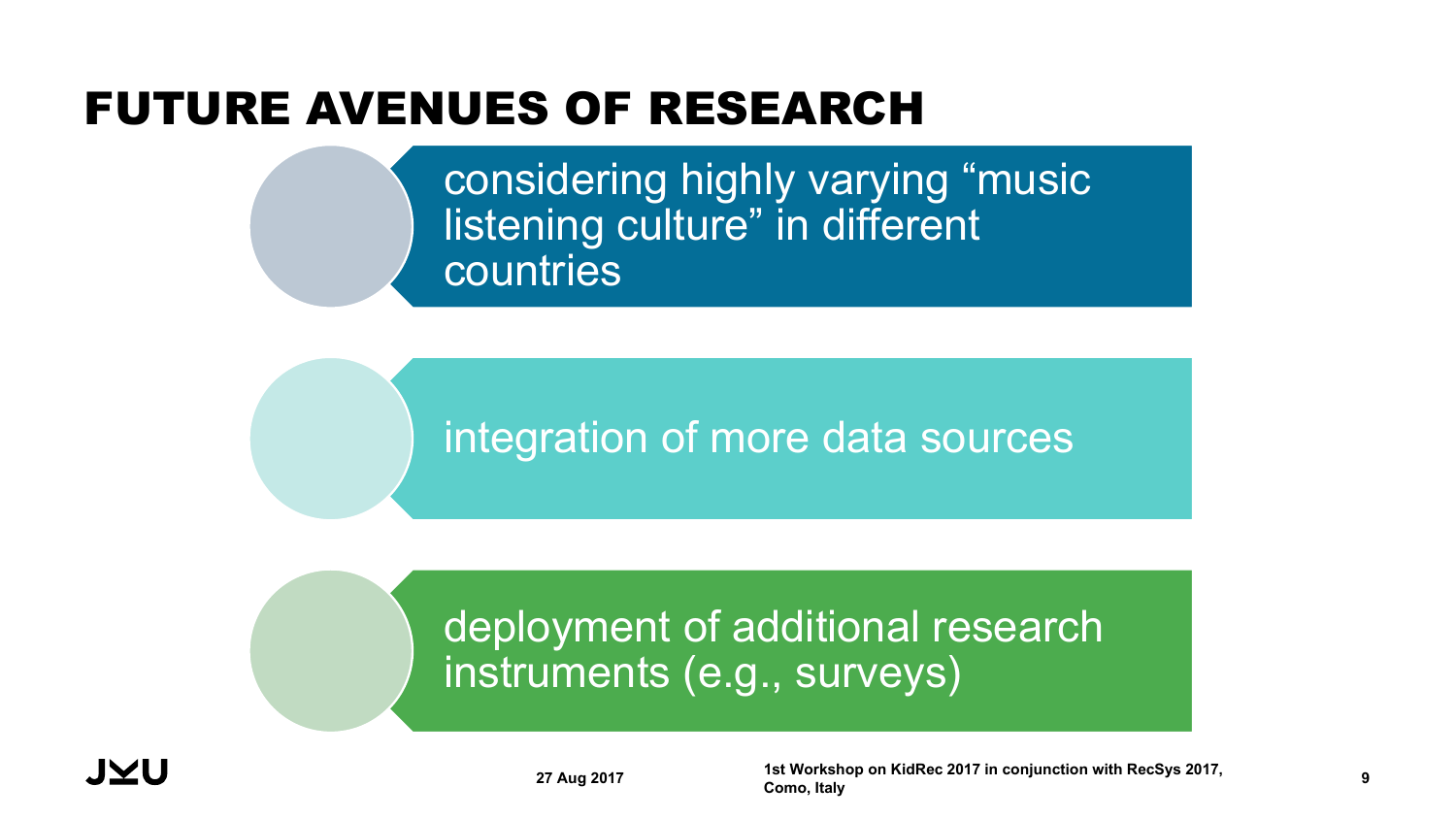## FUTURE AVENUES OF RESEARCH

considering highly varying "music listening culture" in different countries

## integration of more data sources

### deployment of additional research instruments (e.g., surveys)



**27 Aug 2017 1st Workshop on KidRec 2017 in conjunction with RecSys 2017, Como, Italy <sup>9</sup>**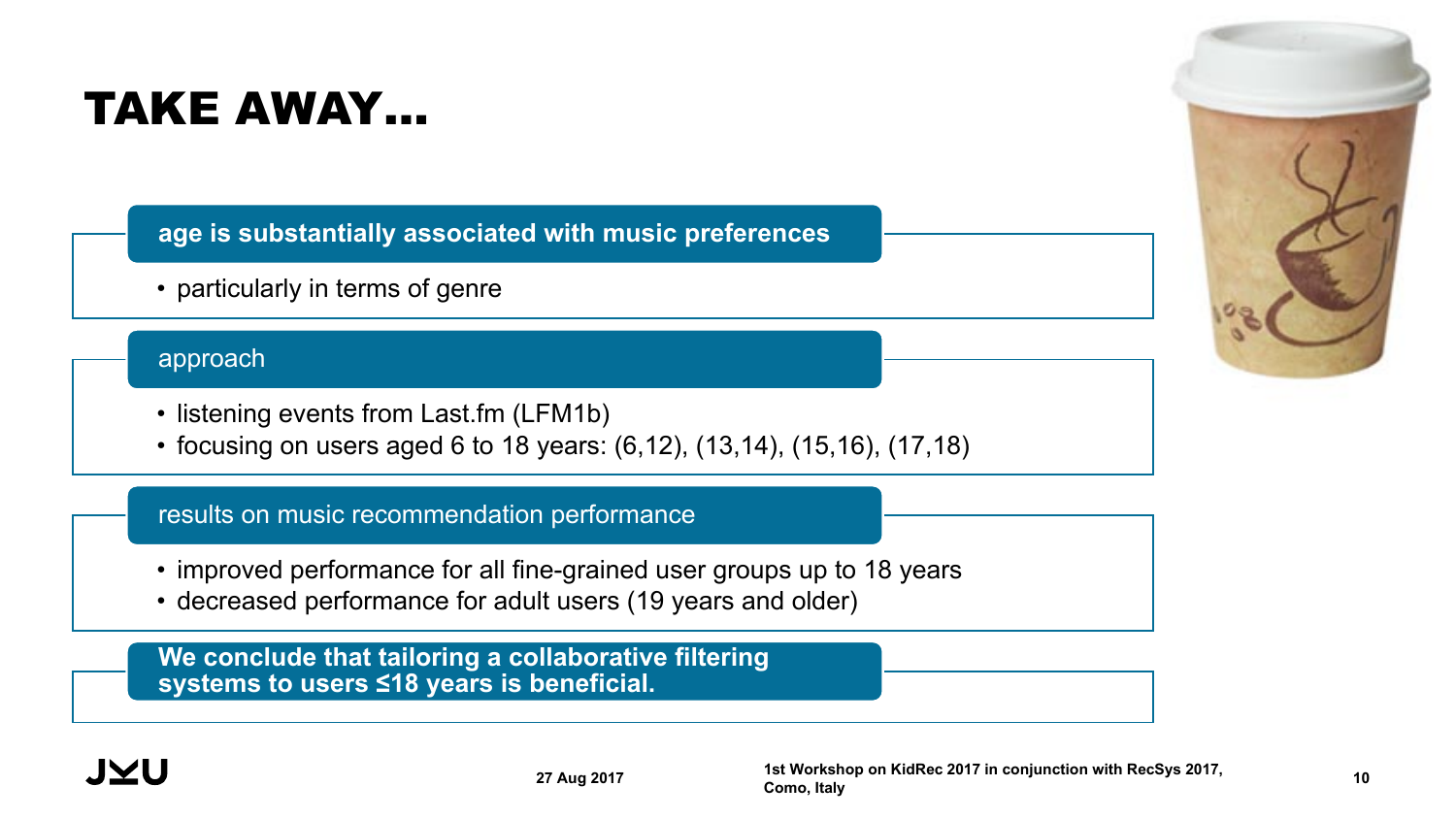## TAKE AWAY…

**age is substantially associated with music preferences**

• particularly in terms of genre

#### approach

- listening events from Last.fm (LFM1b)
- focusing on users aged 6 to 18 years: (6,12), (13,14), (15,16), (17,18)

#### results on music recommendation performance

- improved performance for all fine-grained user groups up to 18 years
- decreased performance for adult users (19 years and older)

**We conclude that tailoring a collaborative filtering systems to users ≤18 years is beneficial.**